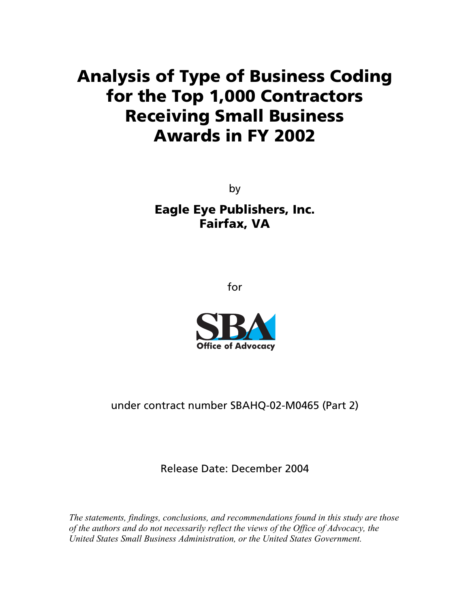## **Analysis of Type of Business Coding for the Top 1,000 Contractors Receiving Small Business Awards in FY 2002**

by **Eagle Eye Publishers, Inc. Fairfax, VA** 

for



under contract number SBAHQ-02-M0465 (Part 2)

Release Date: December 2004

*The statements, findings, conclusions, and recommendations found in this study are those of the authors and do not necessarily reflect the views of the Office of Advocacy, the United States Small Business Administration, or the United States Government.*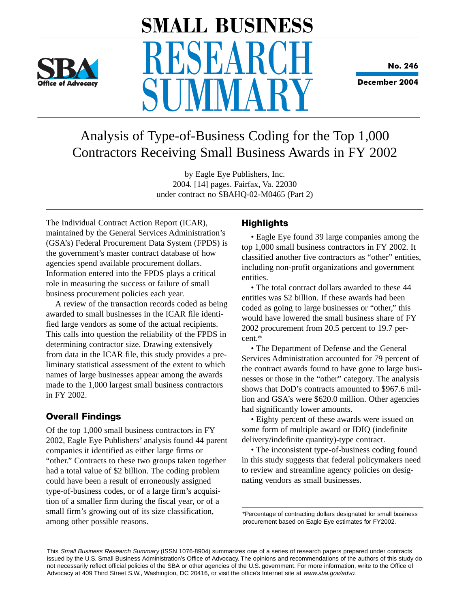

# **SMALL BUSINESS RESEARCH IIVIVIAR**

**No. 246**

**December 2004**

### Analysis of Type-of-Business Coding for the Top 1,000 Contractors Receiving Small Business Awards in FY 2002

by Eagle Eye Publishers, Inc. 2004. [14] pages. Fairfax, Va. 22030 under contract no SBAHQ-02-M0465 (Part 2)

The Individual Contract Action Report (ICAR), maintained by the General Services Administration's (GSA's) Federal Procurement Data System (FPDS) is the government's master contract database of how agencies spend available procurement dollars. Information entered into the FPDS plays a critical role in measuring the success or failure of small business procurement policies each year.

A review of the transaction records coded as being awarded to small businesses in the ICAR file identified large vendors as some of the actual recipients. This calls into question the reliability of the FPDS in determining contractor size. Drawing extensively from data in the ICAR file, this study provides a preliminary statistical assessment of the extent to which names of large businesses appear among the awards made to the 1,000 largest small business contractors in FY 2002.

#### **Overall Findings**

Of the top 1,000 small business contractors in FY 2002, Eagle Eye Publishers' analysis found 44 parent companies it identified as either large firms or "other." Contracts to these two groups taken together had a total value of \$2 billion. The coding problem could have been a result of erroneously assigned type-of-business codes, or of a large firm's acquisition of a smaller firm during the fiscal year, or of a small firm's growing out of its size classification, among other possible reasons.

#### **Highlights**

• Eagle Eye found 39 large companies among the top 1,000 small business contractors in FY 2002. It classified another five contractors as "other" entities, including non-profit organizations and government entities.

• The total contract dollars awarded to these 44 entities was \$2 billion. If these awards had been coded as going to large businesses or "other," this would have lowered the small business share of FY 2002 procurement from 20.5 percent to 19.7 percent.\*

• The Department of Defense and the General Services Administration accounted for 79 percent of the contract awards found to have gone to large businesses or those in the "other" category. The analysis shows that DoD's contracts amounted to \$967.6 million and GSA's were \$620.0 million. Other agencies had significantly lower amounts.

• Eighty percent of these awards were issued on some form of multiple award or IDIQ (indefinite delivery/indefinite quantity)-type contract.

• The inconsistent type-of-business coding found in this study suggests that federal policymakers need to review and streamline agency policies on designating vendors as small businesses.

\*Percentage of contracting dollars designated for small business procurement based on Eagle Eye estimates for FY2002.

This Small Business Research Summary (ISSN 1076-8904) summarizes one of a series of research papers prepared under contracts issued by the U.S. Small Business Administration's Office of Advocacy. The opinions and recommendations of the authors of this study do not necessarily reflect official policies of the SBA or other agencies of the U.S. government. For more information, write to the Office of Advocacy at 409 Third Street S.W., Washington, DC 20416, or visit the office's Internet site at www.sba.gov/advo.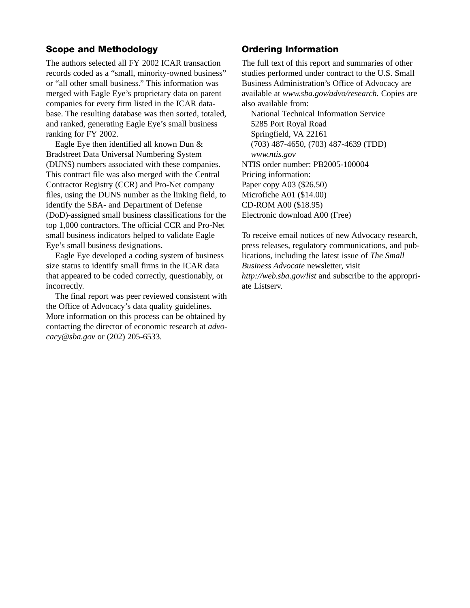#### **Scope and Methodology**

The authors selected all FY 2002 ICAR transaction records coded as a "small, minority-owned business" or "all other small business." This information was merged with Eagle Eye's proprietary data on parent companies for every firm listed in the ICAR database. The resulting database was then sorted, totaled, and ranked, generating Eagle Eye's small business ranking for FY 2002.

Eagle Eye then identified all known Dun & Bradstreet Data Universal Numbering System (DUNS) numbers associated with these companies. This contract file was also merged with the Central Contractor Registry (CCR) and Pro-Net company files, using the DUNS number as the linking field, to identify the SBA- and Department of Defense (DoD)-assigned small business classifications for the top 1,000 contractors. The official CCR and Pro-Net small business indicators helped to validate Eagle Eye's small business designations.

Eagle Eye developed a coding system of business size status to identify small firms in the ICAR data that appeared to be coded correctly, questionably, or incorrectly.

The final report was peer reviewed consistent with the Office of Advocacy's data quality guidelines. More information on this process can be obtained by contacting the director of economic research at *advocacy@sba.gov* or (202) 205-6533.

#### **Ordering Information**

The full text of this report and summaries of other studies performed under contract to the U.S. Small Business Administration's Office of Advocacy are available at *www.sba.gov/advo/research.* Copies are also available from:

National Technical Information Service 5285 Port Royal Road Springfield, VA 22161 (703) 487-4650, (703) 487-4639 (TDD) *www.ntis.gov* NTIS order number: PB2005-100004 Pricing information: Paper copy A03 (\$26.50) Microfiche A01 (\$14.00) CD-ROM A00 (\$18.95) Electronic download A00 (Free)

To receive email notices of new Advocacy research, press releases, regulatory communications, and publications, including the latest issue of *The Small Business Advocate* newsletter, visit *http://web.sba.gov/list* and subscribe to the appropriate Listserv.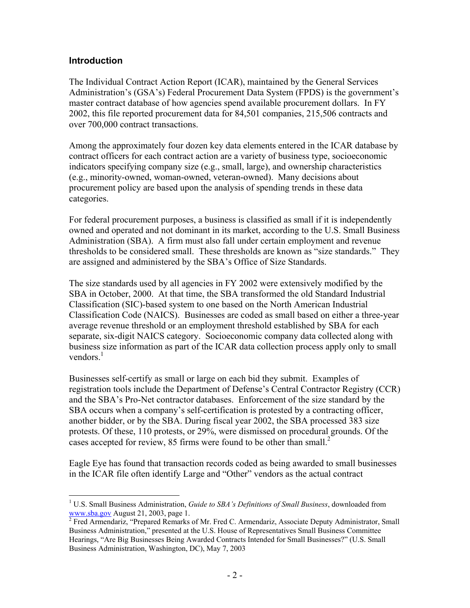#### **Introduction**

 $\overline{a}$ 

The Individual Contract Action Report (ICAR), maintained by the General Services Administration's (GSA's) Federal Procurement Data System (FPDS) is the government's master contract database of how agencies spend available procurement dollars. In FY 2002, this file reported procurement data for 84,501 companies, 215,506 contracts and over 700,000 contract transactions.

Among the approximately four dozen key data elements entered in the ICAR database by contract officers for each contract action are a variety of business type, socioeconomic indicators specifying company size (e.g., small, large), and ownership characteristics (e.g., minority-owned, woman-owned, veteran-owned). Many decisions about procurement policy are based upon the analysis of spending trends in these data categories.

For federal procurement purposes, a business is classified as small if it is independently owned and operated and not dominant in its market, according to the U.S. Small Business Administration (SBA). A firm must also fall under certain employment and revenue thresholds to be considered small. These thresholds are known as "size standards." They are assigned and administered by the SBA's Office of Size Standards.

The size standards used by all agencies in FY 2002 were extensively modified by the SBA in October, 2000. At that time, the SBA transformed the old Standard Industrial Classification (SIC)-based system to one based on the North American Industrial Classification Code (NAICS). Businesses are coded as small based on either a three-year average revenue threshold or an employment threshold established by SBA for each separate, six-digit NAICS category. Socioeconomic company data collected along with business size information as part of the ICAR data collection process apply only to small vendors $1$ 

Businesses self-certify as small or large on each bid they submit. Examples of registration tools include the Department of Defense's Central Contractor Registry (CCR) and the SBA's Pro-Net contractor databases. Enforcement of the size standard by the SBA occurs when a company's self-certification is protested by a contracting officer, another bidder, or by the SBA. During fiscal year 2002, the SBA processed 383 size protests. Of these, 110 protests, or 29%, were dismissed on procedural grounds. Of the cases accepted for review, 85 firms were found to be other than small. $^2$ 

Eagle Eye has found that transaction records coded as being awarded to small businesses in the ICAR file often identify Large and "Other" vendors as the actual contract

<sup>&</sup>lt;sup>1</sup> U.S. Small Business Administration, *Guide to SBA's Definitions of Small Business*, downloaded from www.sba.gov August 21, 2003, page 1.

<sup>&</sup>lt;sup>2</sup> Fred Armendariz, "Prepared Remarks of Mr. Fred C. Armendariz, Associate Deputy Administrator, Small Business Administration," presented at the U.S. House of Representatives Small Business Committee Hearings, "Are Big Businesses Being Awarded Contracts Intended for Small Businesses?" (U.S. Small Business Administration, Washington, DC), May 7, 2003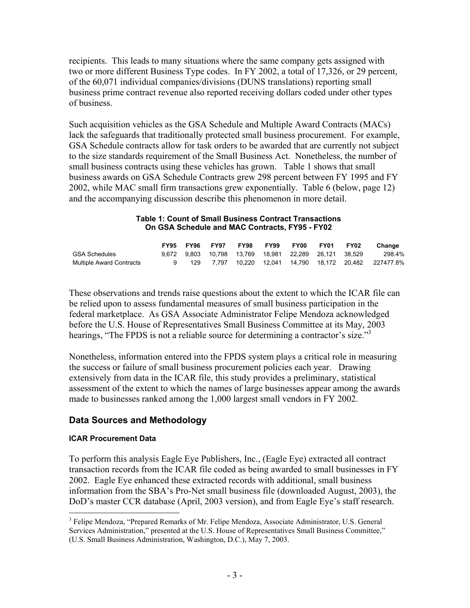recipients. This leads to many situations where the same company gets assigned with two or more different Business Type codes. In FY 2002, a total of 17,326, or 29 percent, of the 60,071 individual companies/divisions (DUNS translations) reporting small business prime contract revenue also reported receiving dollars coded under other types of business.

Such acquisition vehicles as the GSA Schedule and Multiple Award Contracts (MACs) lack the safeguards that traditionally protected small business procurement. For example, GSA Schedule contracts allow for task orders to be awarded that are currently not subject to the size standards requirement of the Small Business Act. Nonetheless, the number of small business contracts using these vehicles has grown. Table 1 shows that small business awards on GSA Schedule Contracts grew 298 percent between FY 1995 and FY 2002, while MAC small firm transactions grew exponentially. Table 6 (below, page 12) and the accompanying discussion describe this phenomenon in more detail.

#### **Table 1: Count of Small Business Contract Transactions On GSA Schedule and MAC Contracts, FY95 - FY02**

|                          | <b>FY95 FY96</b> | <b>FY97</b> | <b>FY98</b> | FY99 FY00 |                                                       | <b>FY01 FY02</b> | Change                                                                           |
|--------------------------|------------------|-------------|-------------|-----------|-------------------------------------------------------|------------------|----------------------------------------------------------------------------------|
| <b>GSA Schedules</b>     |                  |             |             |           | 9.672 9.803 10.798 13.769 18.981 22.289 26.121 38.529 |                  | 298.4%                                                                           |
| Multiple Award Contracts |                  |             |             |           |                                                       |                  | 9    129    7.797    10.220    12.041    14.790    18.172    20.482    227477.8% |

These observations and trends raise questions about the extent to which the ICAR file can be relied upon to assess fundamental measures of small business participation in the federal marketplace. As GSA Associate Administrator Felipe Mendoza acknowledged before the U.S. House of Representatives Small Business Committee at its May, 2003 hearings, "The FPDS is not a reliable source for determining a contractor's size."<sup>3</sup>

Nonetheless, information entered into the FPDS system plays a critical role in measuring the success or failure of small business procurement policies each year. Drawing extensively from data in the ICAR file, this study provides a preliminary, statistical assessment of the extent to which the names of large businesses appear among the awards made to businesses ranked among the 1,000 largest small vendors in FY 2002.

#### **Data Sources and Methodology**

#### **ICAR Procurement Data**

 $\overline{a}$ 

To perform this analysis Eagle Eye Publishers, Inc., (Eagle Eye) extracted all contract transaction records from the ICAR file coded as being awarded to small businesses in FY 2002. Eagle Eye enhanced these extracted records with additional, small business information from the SBA's Pro-Net small business file (downloaded August, 2003), the DoD's master CCR database (April, 2003 version), and from Eagle Eye's staff research.

<sup>&</sup>lt;sup>3</sup> Felipe Mendoza, "Prepared Remarks of Mr. Felipe Mendoza, Associate Administrator, U.S. General Services Administration," presented at the U.S. House of Representatives Small Business Committee," (U.S. Small Business Administration, Washington, D.C.), May 7, 2003.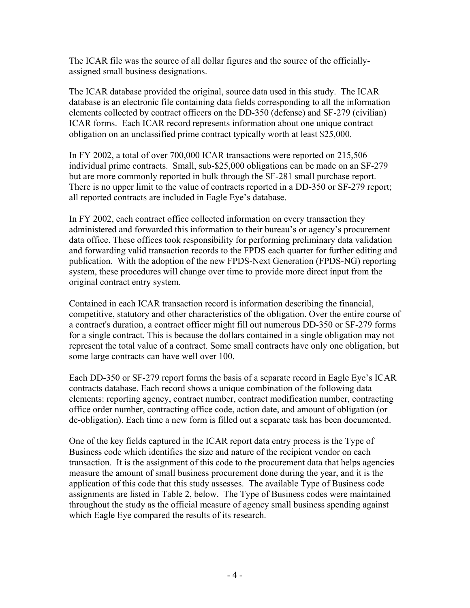The ICAR file was the source of all dollar figures and the source of the officiallyassigned small business designations.

The ICAR database provided the original, source data used in this study. The ICAR database is an electronic file containing data fields corresponding to all the information elements collected by contract officers on the DD-350 (defense) and SF-279 (civilian) ICAR forms. Each ICAR record represents information about one unique contract obligation on an unclassified prime contract typically worth at least \$25,000.

In FY 2002, a total of over 700,000 ICAR transactions were reported on 215,506 individual prime contracts. Small, sub-\$25,000 obligations can be made on an SF-279 but are more commonly reported in bulk through the SF-281 small purchase report. There is no upper limit to the value of contracts reported in a DD-350 or SF-279 report; all reported contracts are included in Eagle Eye's database.

In FY 2002, each contract office collected information on every transaction they administered and forwarded this information to their bureau's or agency's procurement data office. These offices took responsibility for performing preliminary data validation and forwarding valid transaction records to the FPDS each quarter for further editing and publication. With the adoption of the new FPDS-Next Generation (FPDS-NG) reporting system, these procedures will change over time to provide more direct input from the original contract entry system.

Contained in each ICAR transaction record is information describing the financial, competitive, statutory and other characteristics of the obligation. Over the entire course of a contract's duration, a contract officer might fill out numerous DD-350 or SF-279 forms for a single contract. This is because the dollars contained in a single obligation may not represent the total value of a contract. Some small contracts have only one obligation, but some large contracts can have well over 100.

Each DD-350 or SF-279 report forms the basis of a separate record in Eagle Eye's ICAR contracts database. Each record shows a unique combination of the following data elements: reporting agency, contract number, contract modification number, contracting office order number, contracting office code, action date, and amount of obligation (or de-obligation). Each time a new form is filled out a separate task has been documented.

One of the key fields captured in the ICAR report data entry process is the Type of Business code which identifies the size and nature of the recipient vendor on each transaction. It is the assignment of this code to the procurement data that helps agencies measure the amount of small business procurement done during the year, and it is the application of this code that this study assesses. The available Type of Business code assignments are listed in Table 2, below. The Type of Business codes were maintained throughout the study as the official measure of agency small business spending against which Eagle Eye compared the results of its research.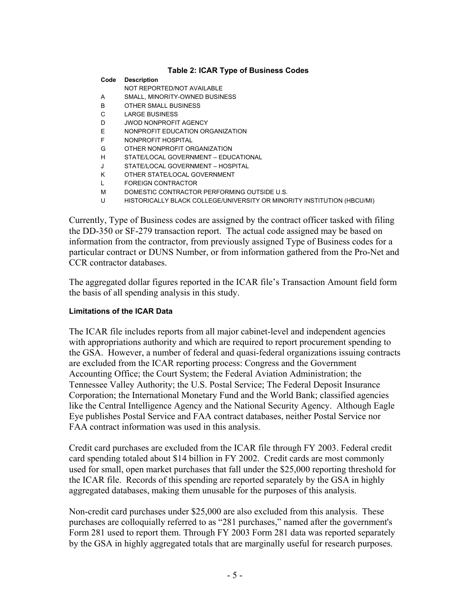#### **Table 2: ICAR Type of Business Codes**

| Code | <b>Description</b>                                                      |
|------|-------------------------------------------------------------------------|
|      | NOT REPORTED/NOT AVAILABLE                                              |
| A    | SMALL, MINORITY-OWNED BUSINESS                                          |
| B    | OTHER SMALL BUSINESS                                                    |
| C    | <b>LARGE BUSINESS</b>                                                   |
| D    | JWOD NONPROFIT AGENCY                                                   |
| Ε    | NONPROFIT EDUCATION ORGANIZATION                                        |
| F    | NONPROFIT HOSPITAL                                                      |
| G    | OTHER NONPROFIT ORGANIZATION                                            |
| н    | STATE/LOCAL GOVERNMENT - EDUCATIONAL                                    |
|      | STATE/LOCAL GOVERNMENT - HOSPITAL                                       |
| K    | OTHER STATE/LOCAL GOVERNMENT                                            |
|      | FOREIGN CONTRACTOR                                                      |
| м    | DOMESTIC CONTRACTOR PERFORMING OUTSIDE U.S.                             |
| U    | HISTORICALLY BLACK COLLEGE/UNIVERSITY OR MINORITY INSTITUTION (HBCU/MI) |

Currently, Type of Business codes are assigned by the contract officer tasked with filing the DD-350 or SF-279 transaction report. The actual code assigned may be based on information from the contractor, from previously assigned Type of Business codes for a particular contract or DUNS Number, or from information gathered from the Pro-Net and CCR contractor databases.

The aggregated dollar figures reported in the ICAR file's Transaction Amount field form the basis of all spending analysis in this study.

#### **Limitations of the ICAR Data**

The ICAR file includes reports from all major cabinet-level and independent agencies with appropriations authority and which are required to report procurement spending to the GSA. However, a number of federal and quasi-federal organizations issuing contracts are excluded from the ICAR reporting process: Congress and the Government Accounting Office; the Court System; the Federal Aviation Administration; the Tennessee Valley Authority; the U.S. Postal Service; The Federal Deposit Insurance Corporation; the International Monetary Fund and the World Bank; classified agencies like the Central Intelligence Agency and the National Security Agency. Although Eagle Eye publishes Postal Service and FAA contract databases, neither Postal Service nor FAA contract information was used in this analysis.

Credit card purchases are excluded from the ICAR file through FY 2003. Federal credit card spending totaled about \$14 billion in FY 2002. Credit cards are most commonly used for small, open market purchases that fall under the \$25,000 reporting threshold for the ICAR file. Records of this spending are reported separately by the GSA in highly aggregated databases, making them unusable for the purposes of this analysis.

Non-credit card purchases under \$25,000 are also excluded from this analysis. These purchases are colloquially referred to as "281 purchases," named after the government's Form 281 used to report them. Through FY 2003 Form 281 data was reported separately by the GSA in highly aggregated totals that are marginally useful for research purposes.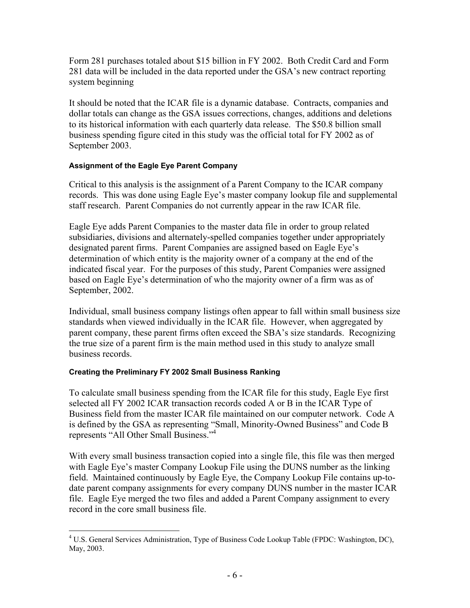Form 281 purchases totaled about \$15 billion in FY 2002. Both Credit Card and Form 281 data will be included in the data reported under the GSA's new contract reporting system beginning

It should be noted that the ICAR file is a dynamic database. Contracts, companies and dollar totals can change as the GSA issues corrections, changes, additions and deletions to its historical information with each quarterly data release. The \$50.8 billion small business spending figure cited in this study was the official total for FY 2002 as of September 2003.

#### **Assignment of the Eagle Eye Parent Company**

Critical to this analysis is the assignment of a Parent Company to the ICAR company records. This was done using Eagle Eye's master company lookup file and supplemental staff research. Parent Companies do not currently appear in the raw ICAR file.

Eagle Eye adds Parent Companies to the master data file in order to group related subsidiaries, divisions and alternately-spelled companies together under appropriately designated parent firms. Parent Companies are assigned based on Eagle Eye's determination of which entity is the majority owner of a company at the end of the indicated fiscal year. For the purposes of this study, Parent Companies were assigned based on Eagle Eye's determination of who the majority owner of a firm was as of September, 2002.

Individual, small business company listings often appear to fall within small business size standards when viewed individually in the ICAR file. However, when aggregated by parent company, these parent firms often exceed the SBA's size standards. Recognizing the true size of a parent firm is the main method used in this study to analyze small business records.

#### **Creating the Preliminary FY 2002 Small Business Ranking**

1

To calculate small business spending from the ICAR file for this study, Eagle Eye first selected all FY 2002 ICAR transaction records coded A or B in the ICAR Type of Business field from the master ICAR file maintained on our computer network. Code A is defined by the GSA as representing "Small, Minority-Owned Business" and Code B represents "All Other Small Business."4

With every small business transaction copied into a single file, this file was then merged with Eagle Eye's master Company Lookup File using the DUNS number as the linking field. Maintained continuously by Eagle Eye, the Company Lookup File contains up-todate parent company assignments for every company DUNS number in the master ICAR file. Eagle Eye merged the two files and added a Parent Company assignment to every record in the core small business file.

<sup>&</sup>lt;sup>4</sup> U.S. General Services Administration, Type of Business Code Lookup Table (FPDC: Washington, DC), May, 2003.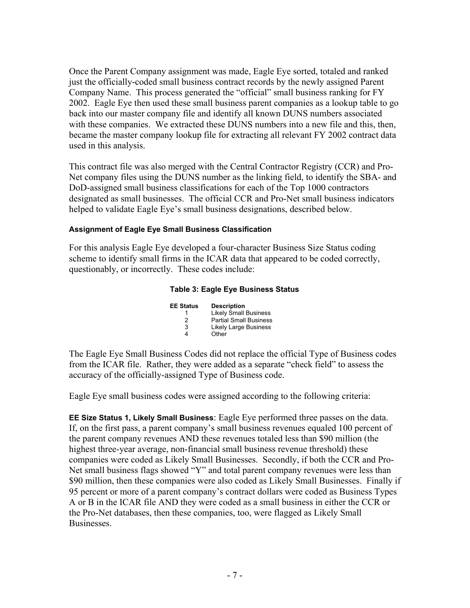Once the Parent Company assignment was made, Eagle Eye sorted, totaled and ranked just the officially-coded small business contract records by the newly assigned Parent Company Name. This process generated the "official" small business ranking for FY 2002. Eagle Eye then used these small business parent companies as a lookup table to go back into our master company file and identify all known DUNS numbers associated with these companies. We extracted these DUNS numbers into a new file and this, then, became the master company lookup file for extracting all relevant FY 2002 contract data used in this analysis.

This contract file was also merged with the Central Contractor Registry (CCR) and Pro-Net company files using the DUNS number as the linking field, to identify the SBA- and DoD-assigned small business classifications for each of the Top 1000 contractors designated as small businesses. The official CCR and Pro-Net small business indicators helped to validate Eagle Eye's small business designations, described below.

#### **Assignment of Eagle Eye Small Business Classification**

For this analysis Eagle Eye developed a four-character Business Size Status coding scheme to identify small firms in the ICAR data that appeared to be coded correctly, questionably, or incorrectly. These codes include:

#### **Table 3: Eagle Eye Business Status**

| <b>EE Status</b> | <b>Description</b>            |
|------------------|-------------------------------|
|                  | <b>Likely Small Business</b>  |
| 2                | <b>Partial Small Business</b> |
| 3                | <b>Likely Large Business</b>  |
| 4                | Other                         |

The Eagle Eye Small Business Codes did not replace the official Type of Business codes from the ICAR file. Rather, they were added as a separate "check field" to assess the accuracy of the officially-assigned Type of Business code.

Eagle Eye small business codes were assigned according to the following criteria:

**EE Size Status 1, Likely Small Business**: Eagle Eye performed three passes on the data. If, on the first pass, a parent company's small business revenues equaled 100 percent of the parent company revenues AND these revenues totaled less than \$90 million (the highest three-year average, non-financial small business revenue threshold) these companies were coded as Likely Small Businesses. Secondly, if both the CCR and Pro-Net small business flags showed "Y" and total parent company revenues were less than \$90 million, then these companies were also coded as Likely Small Businesses. Finally if 95 percent or more of a parent company's contract dollars were coded as Business Types A or B in the ICAR file AND they were coded as a small business in either the CCR or the Pro-Net databases, then these companies, too, were flagged as Likely Small **Businesses**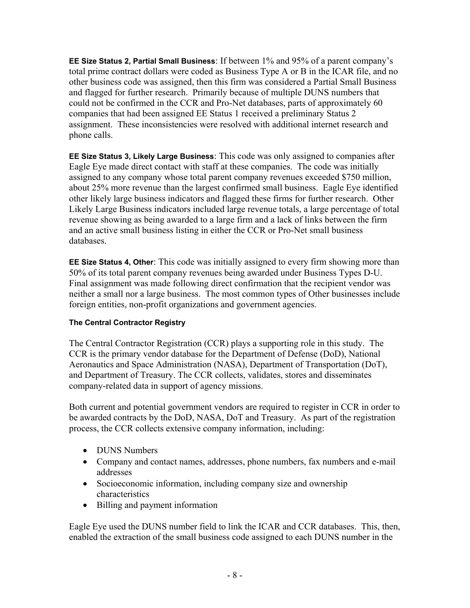**EE Size Status 2, Partial Small Business**: If between 1% and 95% of a parent company's total prime contract dollars were coded as Business Type A or B in the ICAR file, and no other business code was assigned, then this firm was considered a Partial Small Business and flagged for further research. Primarily because of multiple DUNS numbers that could not be confirmed in the CCR and Pro-Net databases, parts of approximately 60 companies that had been assigned EE Status 1 received a preliminary Status 2 assignment. These inconsistencies were resolved with additional internet research and phone calls.

**EE Size Status 3, Likely Large Business**: This code was only assigned to companies after Eagle Eye made direct contact with staff at these companies. The code was initially assigned to any company whose total parent company revenues exceeded \$750 million, about 25% more revenue than the largest confirmed small business. Eagle Eye identified other likely large business indicators and flagged these firms for further research. Other Likely Large Business indicators included large revenue totals, a large percentage of total revenue showing as being awarded to a large firm and a lack of links between the firm and an active small business listing in either the CCR or Pro-Net small business databases.

**EE Size Status 4, Other**: This code was initially assigned to every firm showing more than 50% of its total parent company revenues being awarded under Business Types D-U. Final assignment was made following direct confirmation that the recipient vendor was neither a small nor a large business. The most common types of Other businesses include foreign entities, non-profit organizations and government agencies.

#### **The Central Contractor Registry**

The Central Contractor Registration (CCR) plays a supporting role in this study. The CCR is the primary vendor database for the Department of Defense (DoD), National Aeronautics and Space Administration (NASA), Department of Transportation (DoT), and Department of Treasury. The CCR collects, validates, stores and disseminates company-related data in support of agency missions.

Both current and potential government vendors are required to register in CCR in order to be awarded contracts by the DoD, NASA, DoT and Treasury. As part of the registration process, the CCR collects extensive company information, including:

- **DUNS** Numbers
- Company and contact names, addresses, phone numbers, fax numbers and e-mail addresses
- Socioeconomic information, including company size and ownership characteristics
- Billing and payment information

Eagle Eye used the DUNS number field to link the ICAR and CCR databases. This, then, enabled the extraction of the small business code assigned to each DUNS number in the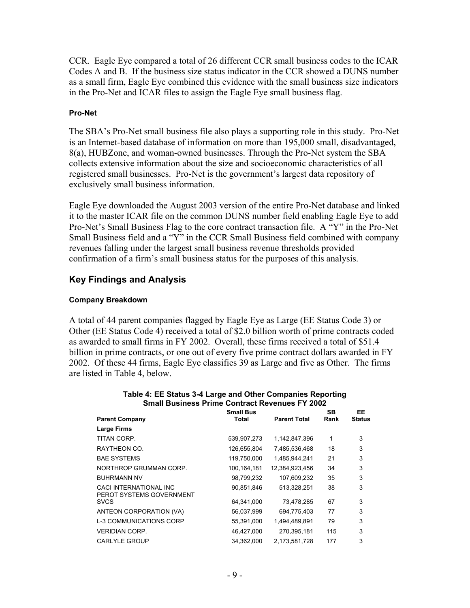CCR. Eagle Eye compared a total of 26 different CCR small business codes to the ICAR Codes A and B. If the business size status indicator in the CCR showed a DUNS number as a small firm, Eagle Eye combined this evidence with the small business size indicators in the Pro-Net and ICAR files to assign the Eagle Eye small business flag.

#### **Pro-Net**

The SBA's Pro-Net small business file also plays a supporting role in this study. Pro-Net is an Internet-based database of information on more than 195,000 small, disadvantaged, 8(a), HUBZone, and woman-owned businesses. Through the Pro-Net system the SBA collects extensive information about the size and socioeconomic characteristics of all registered small businesses. Pro-Net is the government's largest data repository of exclusively small business information.

Eagle Eye downloaded the August 2003 version of the entire Pro-Net database and linked it to the master ICAR file on the common DUNS number field enabling Eagle Eye to add Pro-Net's Small Business Flag to the core contract transaction file. A "Y" in the Pro-Net Small Business field and a "Y" in the CCR Small Business field combined with company revenues falling under the largest small business revenue thresholds provided confirmation of a firm's small business status for the purposes of this analysis.

#### **Key Findings and Analysis**

#### **Company Breakdown**

A total of 44 parent companies flagged by Eagle Eye as Large (EE Status Code 3) or Other (EE Status Code 4) received a total of \$2.0 billion worth of prime contracts coded as awarded to small firms in FY 2002. Overall, these firms received a total of \$51.4 billion in prime contracts, or one out of every five prime contract dollars awarded in FY 2002. Of these 44 firms, Eagle Eye classifies 39 as Large and five as Other. The firms are listed in Table 4, below.

| <b>Parent Company</b>                              | <b>Small Bus</b><br>Total | <b>Parent Total</b> | <b>SB</b><br>Rank | EE.<br>Status |
|----------------------------------------------------|---------------------------|---------------------|-------------------|---------------|
| <b>Large Firms</b>                                 |                           |                     |                   |               |
| TITAN CORP.                                        | 539,907,273               | 1,142,847,396       | 1                 | 3             |
| RAYTHEON CO.                                       | 126,655,804               | 7,485,536,468       | 18                | 3             |
| <b>BAE SYSTEMS</b>                                 | 119,750,000               | 1,485,944,241       | 21                | 3             |
| NORTHROP GRUMMAN CORP.                             | 100,164,181               | 12,384,923,456      | 34                | 3             |
| <b>BUHRMANN NV</b>                                 | 98,799,232                | 107,609,232         | 35                | 3             |
| CACI INTERNATIONAL INC<br>PEROT SYSTEMS GOVERNMENT | 90,851,846                | 513,328,251         | 38                | 3             |
| <b>SVCS</b>                                        | 64,341,000                | 73,478,285          | 67                | 3             |
| ANTEON CORPORATION (VA)                            | 56,037,999                | 694,775,403         | 77                | 3             |
| <b>L-3 COMMUNICATIONS CORP</b>                     | 55,391,000                | 1,494,489,891       | 79                | 3             |
| <b>VERIDIAN CORP.</b>                              | 46,427,000                | 270,395,181         | 115               | 3             |
| <b>CARLYLE GROUP</b>                               | 34,362,000                | 2,173,581,728       | 177               | 3             |

#### **Table 4: EE Status 3-4 Large and Other Companies Reporting Small Business Prime Contract Revenues FY 2002**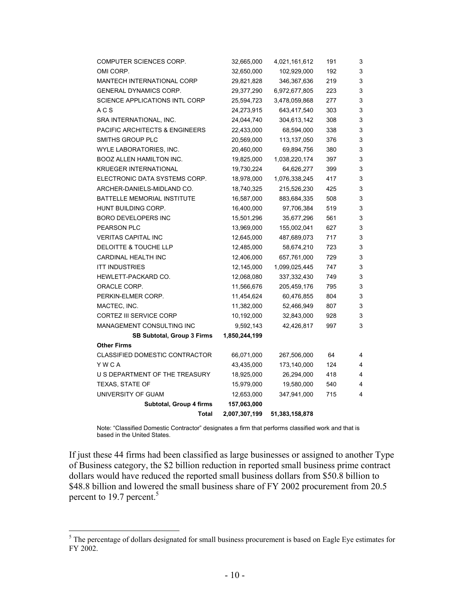| Total                                     | 2,007,307,199 | 51,383,158,878 |     |   |
|-------------------------------------------|---------------|----------------|-----|---|
| Subtotal, Group 4 firms                   | 157,063,000   |                |     |   |
| UNIVERSITY OF GUAM                        | 12,653,000    | 347,941,000    | 715 | 4 |
| TEXAS, STATE OF                           | 15,979,000    | 19,580,000     | 540 | 4 |
| U S DEPARTMENT OF THE TREASURY            | 18,925,000    | 26,294,000     | 418 | 4 |
| YWCA                                      | 43,435,000    | 173,140,000    | 124 | 4 |
| <b>CLASSIFIED DOMESTIC CONTRACTOR</b>     | 66,071,000    | 267,506,000    | 64  | 4 |
| <b>Other Firms</b>                        |               |                |     |   |
| SB Subtotal, Group 3 Firms                | 1,850,244,199 |                |     |   |
| MANAGEMENT CONSULTING INC                 | 9,592,143     | 42,426,817     | 997 | 3 |
| <b>CORTEZ III SERVICE CORP</b>            | 10,192,000    | 32,843,000     | 928 | 3 |
| MACTEC, INC.                              | 11,382,000    | 52,466,949     | 807 | 3 |
| PERKIN-ELMER CORP.                        | 11,454,624    | 60,476,855     | 804 | 3 |
| ORACLE CORP.                              | 11,566,676    | 205,459,176    | 795 | 3 |
| HEWLETT-PACKARD CO.                       | 12,068,080    | 337,332,430    | 749 | 3 |
| <b>ITT INDUSTRIES</b>                     | 12,145,000    | 1,099,025,445  | 747 | 3 |
| <b>CARDINAL HEALTH INC</b>                | 12,406,000    | 657,761,000    | 729 | 3 |
| DELOITTE & TOUCHE LLP                     | 12,485,000    | 58,674,210     | 723 | 3 |
| <b>VERITAS CAPITAL INC</b>                | 12,645,000    | 487,689,073    | 717 | 3 |
| PEARSON PLC                               | 13,969,000    | 155,002,041    | 627 | 3 |
| <b>BORO DEVELOPERS INC</b>                | 15,501,296    | 35,677,296     | 561 | 3 |
| HUNT BUILDING CORP.                       | 16,400,000    | 97,706,384     | 519 | 3 |
| <b>BATTELLE MEMORIAL INSTITUTE</b>        | 16,587,000    | 883,684,335    | 508 | 3 |
| ARCHER-DANIELS-MIDLAND CO.                | 18,740,325    | 215,526,230    | 425 | 3 |
| ELECTRONIC DATA SYSTEMS CORP.             | 18,978,000    | 1,076,338,245  | 417 | 3 |
| <b>KRUEGER INTERNATIONAL</b>              | 19,730,224    | 64,626,277     | 399 | 3 |
| BOOZ ALLEN HAMILTON INC.                  | 19,825,000    | 1,038,220,174  | 397 | 3 |
| WYLE LABORATORIES, INC.                   | 20,460,000    | 69,894,756     | 380 | 3 |
| SMITHS GROUP PLC                          | 20,569,000    | 113,137,050    | 376 | 3 |
| <b>PACIFIC ARCHITECTS &amp; ENGINEERS</b> | 22,433,000    | 68,594,000     | 338 | 3 |
| SRA INTERNATIONAL, INC.                   | 24,044,740    | 304,613,142    | 308 | 3 |
| A C S                                     | 24,273,915    | 643,417,540    | 303 | 3 |
| <b>SCIENCE APPLICATIONS INTL CORP</b>     | 25,594,723    | 3,478,059,868  | 277 | 3 |
| <b>GENERAL DYNAMICS CORP.</b>             | 29,377,290    | 6,972,677,805  | 223 | 3 |
| MANTECH INTERNATIONAL CORP                | 29,821,828    | 346,367,636    | 219 | 3 |
| OMI CORP.                                 | 32,650,000    | 102,929,000    | 192 | 3 |
| COMPUTER SCIENCES CORP.                   | 32,665,000    | 4,021,161,612  | 191 | 3 |

Note: "Classified Domestic Contractor" designates a firm that performs classified work and that is based in the United States.

If just these 44 firms had been classified as large businesses or assigned to another Type of Business category, the \$2 billion reduction in reported small business prime contract dollars would have reduced the reported small business dollars from \$50.8 billion to \$48.8 billion and lowered the small business share of FY 2002 procurement from 20.5 percent to 19.7 percent.<sup>5</sup>

<sup>&</sup>lt;sup>5</sup>The percentage of dollars designated for small business procurement is based on Eagle Eye estimates for FY 2002.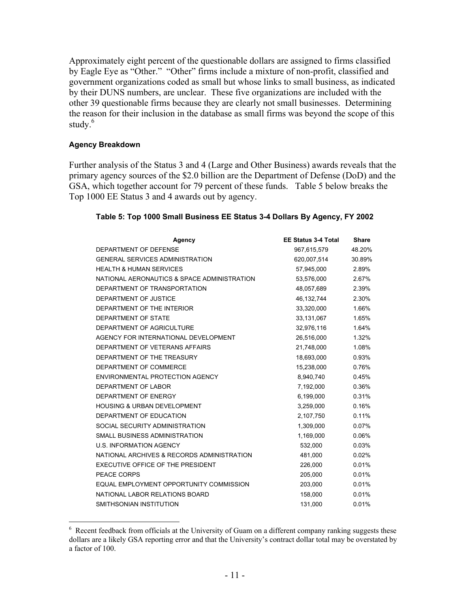Approximately eight percent of the questionable dollars are assigned to firms classified by Eagle Eye as "Other." "Other" firms include a mixture of non-profit, classified and government organizations coded as small but whose links to small business, as indicated by their DUNS numbers, are unclear. These five organizations are included with the other 39 questionable firms because they are clearly not small businesses. Determining the reason for their inclusion in the database as small firms was beyond the scope of this study.<sup>6</sup>

#### **Agency Breakdown**

 $\overline{a}$ 

Further analysis of the Status 3 and 4 (Large and Other Business) awards reveals that the primary agency sources of the \$2.0 billion are the Department of Defense (DoD) and the GSA, which together account for 79 percent of these funds. Table 5 below breaks the Top 1000 EE Status 3 and 4 awards out by agency.

| Agency                                      | <b>EE Status 3-4 Total</b> | <b>Share</b> |
|---------------------------------------------|----------------------------|--------------|
| DEPARTMENT OF DEFENSE                       | 967,615,579                | 48.20%       |
| <b>GENERAL SERVICES ADMINISTRATION</b>      | 620,007,514                | 30.89%       |
| <b>HEALTH &amp; HUMAN SERVICES</b>          | 57,945,000                 | 2.89%        |
| NATIONAL AERONAUTICS & SPACE ADMINISTRATION | 53,576,000                 | 2.67%        |
| DEPARTMENT OF TRANSPORTATION                | 48,057,689                 | 2.39%        |
| DEPARTMENT OF JUSTICE                       | 46,132,744                 | 2.30%        |
| DEPARTMENT OF THE INTERIOR                  | 33,320,000                 | 1.66%        |
| DEPARTMENT OF STATE                         | 33,131,067                 | 1.65%        |
| DEPARTMENT OF AGRICULTURE                   | 32,976,116                 | 1.64%        |
| AGENCY FOR INTERNATIONAL DEVELOPMENT        | 26,516,000                 | 1.32%        |
| DEPARTMENT OF VETERANS AFFAIRS              | 21,748,000                 | 1.08%        |
| DEPARTMENT OF THE TREASURY                  | 18,693,000                 | 0.93%        |
| DEPARTMENT OF COMMERCE                      | 15,238,000                 | 0.76%        |
| ENVIRONMENTAL PROTECTION AGENCY             | 8,940,740                  | 0.45%        |
| DEPARTMENT OF LABOR                         | 7,192,000                  | 0.36%        |
| DEPARTMENT OF ENERGY                        | 6,199,000                  | 0.31%        |
| <b>HOUSING &amp; URBAN DEVELOPMENT</b>      | 3,259,000                  | 0.16%        |
| DEPARTMENT OF EDUCATION                     | 2,107,750                  | 0.11%        |
| SOCIAL SECURITY ADMINISTRATION              | 1,309,000                  | 0.07%        |
| SMALL BUSINESS ADMINISTRATION               | 1,169,000                  | 0.06%        |
| <b>U.S. INFORMATION AGENCY</b>              | 532,000                    | 0.03%        |
| NATIONAL ARCHIVES & RECORDS ADMINISTRATION  | 481,000                    | 0.02%        |
| EXECUTIVE OFFICE OF THE PRESIDENT           | 226,000                    | 0.01%        |
| PEACE CORPS                                 | 205,000                    | 0.01%        |
| EQUAL EMPLOYMENT OPPORTUNITY COMMISSION     | 203,000                    | 0.01%        |
| NATIONAL LABOR RELATIONS BOARD              | 158,000                    | 0.01%        |
| SMITHSONIAN INSTITUTION                     | 131,000                    | 0.01%        |

#### **Table 5: Top 1000 Small Business EE Status 3-4 Dollars By Agency, FY 2002**

<sup>&</sup>lt;sup>6</sup> Recent feedback from officials at the University of Guam on a different company ranking suggests these dollars are a likely GSA reporting error and that the University's contract dollar total may be overstated by a factor of 100.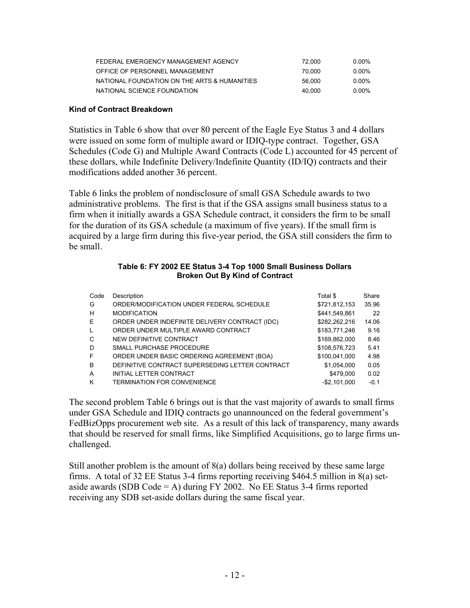| FEDERAL EMERGENCY MANAGEMENT AGENCY          | 72.000 | $0.00\%$ |
|----------------------------------------------|--------|----------|
| OFFICE OF PERSONNEL MANAGEMENT               | 70.000 | 0.00%    |
| NATIONAL FOUNDATION ON THE ARTS & HUMANITIES | 56.000 | 0.00%    |
| NATIONAL SCIENCE FOUNDATION                  | 40.000 | $0.00\%$ |

#### **Kind of Contract Breakdown**

Statistics in Table 6 show that over 80 percent of the Eagle Eye Status 3 and 4 dollars were issued on some form of multiple award or IDIQ-type contract. Together, GSA Schedules (Code G) and Multiple Award Contracts (Code L) accounted for 45 percent of these dollars, while Indefinite Delivery/Indefinite Quantity (ID/IQ) contracts and their modifications added another 36 percent.

Table 6 links the problem of nondisclosure of small GSA Schedule awards to two administrative problems. The first is that if the GSA assigns small business status to a firm when it initially awards a GSA Schedule contract, it considers the firm to be small for the duration of its GSA schedule (a maximum of five years). If the small firm is acquired by a large firm during this five-year period, the GSA still considers the firm to be small.

#### **Table 6: FY 2002 EE Status 3-4 Top 1000 Small Business Dollars Broken Out By Kind of Contract**

| Code | Description                                     | Total \$      | Share  |
|------|-------------------------------------------------|---------------|--------|
| G    | ORDER/MODIFICATION UNDER FEDERAL SCHEDULE       | \$721,812,153 | 35.96  |
| н    | <b>MODIFICATION</b>                             | \$441,549,861 | 22     |
| E    | ORDER UNDER INDEFINITE DELIVERY CONTRACT (IDC)  | \$282,262,216 | 14.06  |
| L    | ORDER UNDER MULTIPLE AWARD CONTRACT             | \$183,771,246 | 9.16   |
| C    | NEW DEFINITIVE CONTRACT                         | \$169,862,000 | 8.46   |
| D    | SMALL PURCHASE PROCEDURE                        | \$108,576,723 | 5.41   |
| F    | ORDER UNDER BASIC ORDERING AGREEMENT (BOA)      | \$100,041,000 | 4.98   |
| B    | DEFINITIVE CONTRACT SUPERSEDING LETTER CONTRACT | \$1,054,000   | 0.05   |
| A    | INITIAL LETTER CONTRACT                         | \$479,000     | 0.02   |
| Κ    | <b>TERMINATION FOR CONVENIENCE</b>              | $-$2.101.000$ | $-0.1$ |

The second problem Table 6 brings out is that the vast majority of awards to small firms under GSA Schedule and IDIQ contracts go unannounced on the federal government's FedBizOpps procurement web site. As a result of this lack of transparency, many awards that should be reserved for small firms, like Simplified Acquisitions, go to large firms unchallenged.

Still another problem is the amount of 8(a) dollars being received by these same large firms. A total of 32 EE Status 3-4 firms reporting receiving \$464.5 million in 8(a) setaside awards (SDB Code = A) during FY 2002. No EE Status 3-4 firms reported receiving any SDB set-aside dollars during the same fiscal year.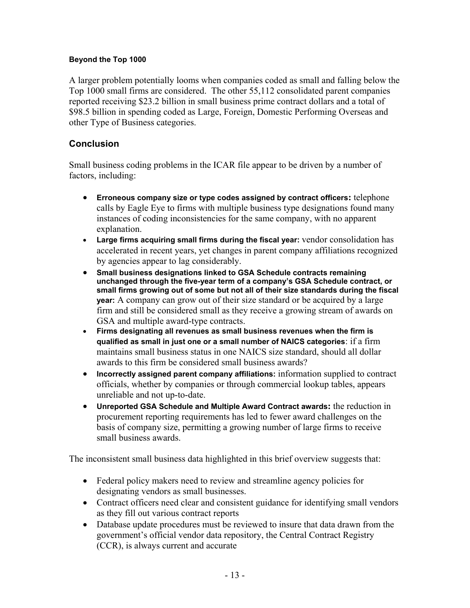#### **Beyond the Top 1000**

A larger problem potentially looms when companies coded as small and falling below the Top 1000 small firms are considered. The other 55,112 consolidated parent companies reported receiving \$23.2 billion in small business prime contract dollars and a total of \$98.5 billion in spending coded as Large, Foreign, Domestic Performing Overseas and other Type of Business categories.

#### **Conclusion**

Small business coding problems in the ICAR file appear to be driven by a number of factors, including:

- **Erroneous company size or type codes assigned by contract officers:** telephone calls by Eagle Eye to firms with multiple business type designations found many instances of coding inconsistencies for the same company, with no apparent explanation.
- **Large firms acquiring small firms during the fiscal year:** vendor consolidation has accelerated in recent years, yet changes in parent company affiliations recognized by agencies appear to lag considerably.
- **Small business designations linked to GSA Schedule contracts remaining unchanged through the five-year term of a company's GSA Schedule contract, or small firms growing out of some but not all of their size standards during the fiscal year:** A company can grow out of their size standard or be acquired by a large firm and still be considered small as they receive a growing stream of awards on GSA and multiple award-type contracts.
- **Firms designating all revenues as small business revenues when the firm is qualified as small in just one or a small number of NAICS categories**: if a firm maintains small business status in one NAICS size standard, should all dollar awards to this firm be considered small business awards?
- **Incorrectly assigned parent company affiliations:** information supplied to contract officials, whether by companies or through commercial lookup tables, appears unreliable and not up-to-date.
- **Unreported GSA Schedule and Multiple Award Contract awards:** the reduction in procurement reporting requirements has led to fewer award challenges on the basis of company size, permitting a growing number of large firms to receive small business awards.

The inconsistent small business data highlighted in this brief overview suggests that:

- Federal policy makers need to review and streamline agency policies for designating vendors as small businesses.
- Contract officers need clear and consistent guidance for identifying small vendors as they fill out various contract reports
- Database update procedures must be reviewed to insure that data drawn from the government's official vendor data repository, the Central Contract Registry (CCR), is always current and accurate